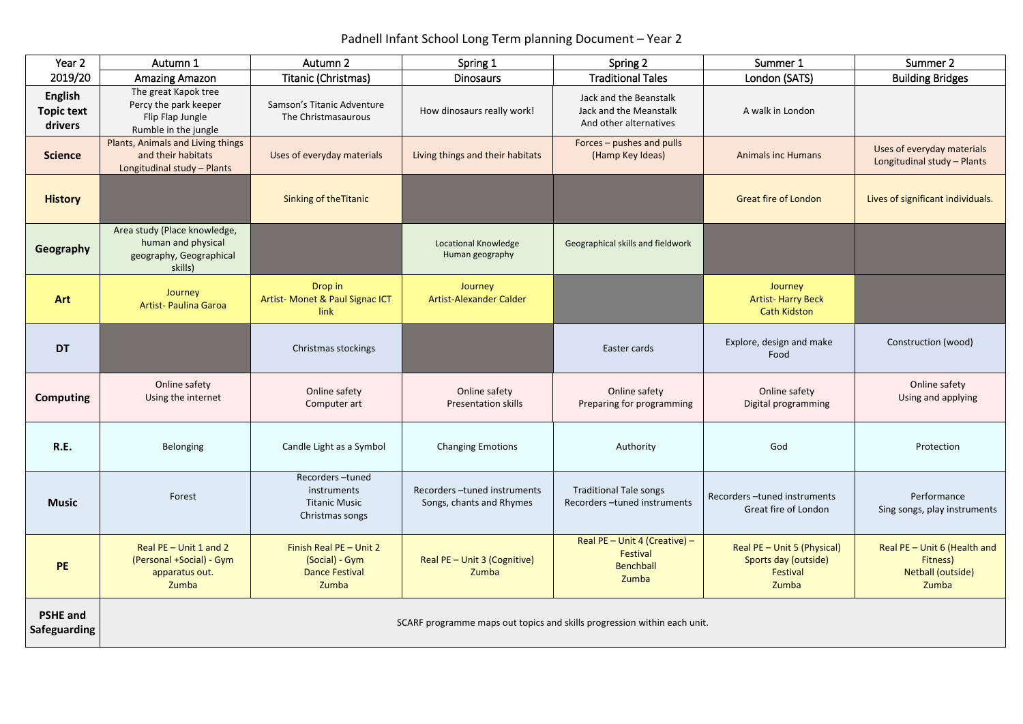# Padnell Infant School Long Term planning Document – Year 2

| Year 2                                         | Autumn 1                                                                                  | Autumn 2                                                                    | Spring 1                                                | Spring 2                                                                      | Summer 1                                                                 | Summer 2                                                               |
|------------------------------------------------|-------------------------------------------------------------------------------------------|-----------------------------------------------------------------------------|---------------------------------------------------------|-------------------------------------------------------------------------------|--------------------------------------------------------------------------|------------------------------------------------------------------------|
| 2019/20                                        | <b>Amazing Amazon</b>                                                                     | Titanic (Christmas)                                                         | <b>Dinosaurs</b>                                        | <b>Traditional Tales</b>                                                      | London (SATS)                                                            | <b>Building Bridges</b>                                                |
| <b>English</b><br><b>Topic text</b><br>drivers | The great Kapok tree<br>Percy the park keeper<br>Flip Flap Jungle<br>Rumble in the jungle | Samson's Titanic Adventure<br>The Christmasaurous                           | How dinosaurs really work!                              | Jack and the Beanstalk<br>Jack and the Meanstalk<br>And other alternatives    | A walk in London                                                         |                                                                        |
| <b>Science</b>                                 | Plants, Animals and Living things<br>and their habitats<br>Longitudinal study - Plants    | Uses of everyday materials                                                  | Living things and their habitats                        | Forces – pushes and pulls<br>(Hamp Key Ideas)                                 | <b>Animals inc Humans</b>                                                | Uses of everyday materials<br>Longitudinal study - Plants              |
| <b>History</b>                                 |                                                                                           | <b>Sinking of the Titanic</b>                                               |                                                         |                                                                               | <b>Great fire of London</b>                                              | Lives of significant individuals.                                      |
| Geography                                      | Area study (Place knowledge,<br>human and physical<br>geography, Geographical<br>skills)  |                                                                             | <b>Locational Knowledge</b><br>Human geography          | Geographical skills and fieldwork                                             |                                                                          |                                                                        |
| <b>Art</b>                                     | Journey<br><b>Artist- Paulina Garoa</b>                                                   | Drop in<br>Artist- Monet & Paul Signac ICT<br>link                          | Journey<br>Artist-Alexander Calder                      |                                                                               | Journey<br><b>Artist-Harry Beck</b><br><b>Cath Kidston</b>               |                                                                        |
| <b>DT</b>                                      |                                                                                           | Christmas stockings                                                         |                                                         | Easter cards                                                                  | Explore, design and make<br>Food                                         | Construction (wood)                                                    |
| <b>Computing</b>                               | Online safety<br>Using the internet                                                       | Online safety<br>Computer art                                               | Online safety<br><b>Presentation skills</b>             | Online safety<br>Preparing for programming                                    | Online safety<br>Digital programming                                     | Online safety<br>Using and applying                                    |
| R.E.                                           | <b>Belonging</b>                                                                          | Candle Light as a Symbol                                                    | <b>Changing Emotions</b>                                | Authority                                                                     | God                                                                      | Protection                                                             |
| <b>Music</b>                                   | Forest                                                                                    | Recorders-tuned<br>instruments<br><b>Titanic Music</b><br>Christmas songs   | Recorders-tuned instruments<br>Songs, chants and Rhymes | <b>Traditional Tale songs</b><br>Recorders-tuned instruments                  | Recorders-tuned instruments<br>Great fire of London                      | Performance<br>Sing songs, play instruments                            |
| <b>PE</b>                                      | Real PE - Unit 1 and 2<br>(Personal +Social) - Gym<br>apparatus out.<br>Zumba             | Finish Real PE - Unit 2<br>(Social) - Gym<br><b>Dance Festival</b><br>Zumba | Real PE - Unit 3 (Cognitive)<br>Zumba                   | Real PE - Unit 4 (Creative) -<br><b>Festival</b><br><b>Benchball</b><br>Zumba | Real PE - Unit 5 (Physical)<br>Sports day (outside)<br>Festival<br>Zumba | Real PE - Unit 6 (Health and<br>Fitness)<br>Netball (outside)<br>Zumba |
| <b>PSHE and</b><br><b>Safeguarding</b>         | SCARF programme maps out topics and skills progression within each unit.                  |                                                                             |                                                         |                                                                               |                                                                          |                                                                        |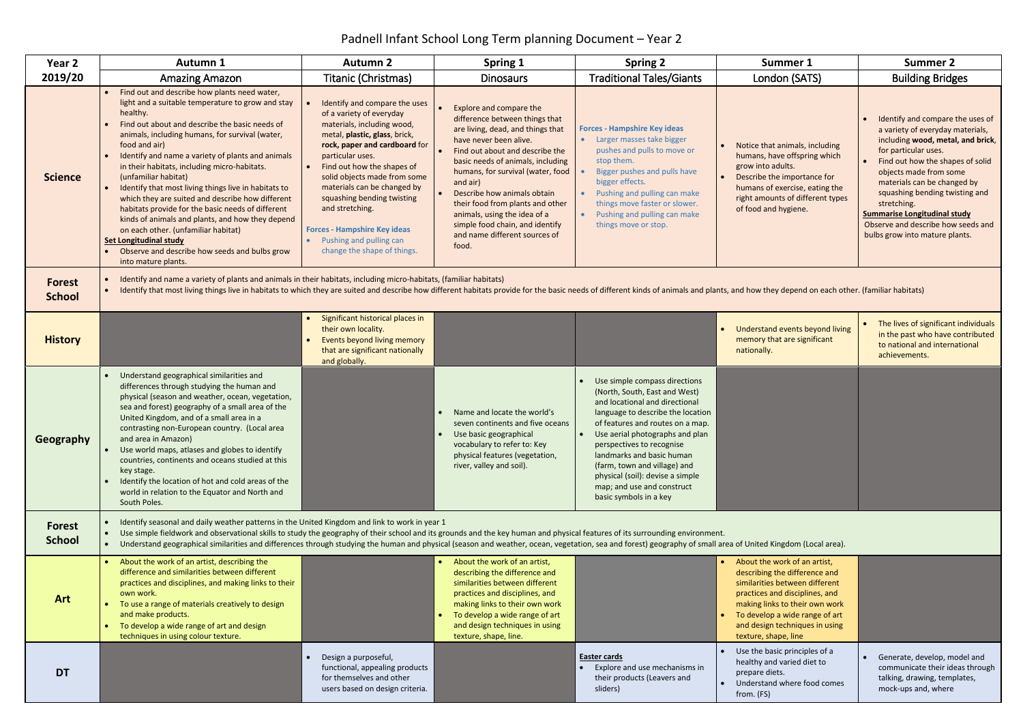## Padnell Infant School Long Term planning Document – Year 2

| Year <sub>2</sub>              | <b>Autumn 1</b>                                                                                                                                                                                                                                                                                                                                                                                                                                                                                                                                                                                                                                                                                                                       | <b>Autumn 2</b>                                                                                                                                                                                                                                                                                                                                                                                                              | Spring 1                                                                                                                                                                                                                                                                                                                                                                                                                          | <b>Spring 2</b>                                                                                                                                                                                                                                                                                                                                                                                    | Summer 1                                                                                                                                                                                                                                                                       | <b>Summer 2</b>                                                                                                                                                                                                                                                                                                                                                                                |
|--------------------------------|---------------------------------------------------------------------------------------------------------------------------------------------------------------------------------------------------------------------------------------------------------------------------------------------------------------------------------------------------------------------------------------------------------------------------------------------------------------------------------------------------------------------------------------------------------------------------------------------------------------------------------------------------------------------------------------------------------------------------------------|------------------------------------------------------------------------------------------------------------------------------------------------------------------------------------------------------------------------------------------------------------------------------------------------------------------------------------------------------------------------------------------------------------------------------|-----------------------------------------------------------------------------------------------------------------------------------------------------------------------------------------------------------------------------------------------------------------------------------------------------------------------------------------------------------------------------------------------------------------------------------|----------------------------------------------------------------------------------------------------------------------------------------------------------------------------------------------------------------------------------------------------------------------------------------------------------------------------------------------------------------------------------------------------|--------------------------------------------------------------------------------------------------------------------------------------------------------------------------------------------------------------------------------------------------------------------------------|------------------------------------------------------------------------------------------------------------------------------------------------------------------------------------------------------------------------------------------------------------------------------------------------------------------------------------------------------------------------------------------------|
| 2019/20                        | <b>Amazing Amazon</b>                                                                                                                                                                                                                                                                                                                                                                                                                                                                                                                                                                                                                                                                                                                 | Titanic (Christmas)                                                                                                                                                                                                                                                                                                                                                                                                          | <b>Dinosaurs</b>                                                                                                                                                                                                                                                                                                                                                                                                                  | <b>Traditional Tales/Giants</b>                                                                                                                                                                                                                                                                                                                                                                    | London (SATS)                                                                                                                                                                                                                                                                  | <b>Building Bridges</b>                                                                                                                                                                                                                                                                                                                                                                        |
| <b>Science</b>                 | Find out and describe how plants need water,<br>light and a suitable temperature to grow and stay<br>healthy.<br>Find out about and describe the basic needs of<br>animals, including humans, for survival (water,<br>food and air)<br>Identify and name a variety of plants and animals<br>in their habitats, including micro-habitats.<br>(unfamiliar habitat)<br>Identify that most living things live in habitats to<br>which they are suited and describe how different<br>habitats provide for the basic needs of different<br>kinds of animals and plants, and how they depend<br>on each other. (unfamiliar habitat)<br><b>Set Longitudinal study</b><br>Observe and describe how seeds and bulbs grow<br>into mature plants. | Identify and compare the uses<br>of a variety of everyday<br>materials, including wood,<br>metal, plastic, glass, brick,<br>rock, paper and cardboard for<br>particular uses.<br>Find out how the shapes of<br>solid objects made from some<br>materials can be changed by<br>squashing bending twisting<br>and stretching.<br><b>Forces - Hampshire Key ideas</b><br>Pushing and pulling can<br>change the shape of things. | Explore and compare the<br>difference between things that<br>are living, dead, and things that<br>have never been alive.<br>Find out about and describe the<br>basic needs of animals, including<br>humans, for survival (water, food<br>and air)<br>Describe how animals obtain<br>their food from plants and other<br>animals, using the idea of a<br>simple food chain, and identify<br>and name different sources of<br>food. | <b>Forces - Hampshire Key ideas</b><br>• Larger masses take bigger<br>pushes and pulls to move or<br>stop them.<br>Bigger pushes and pulls have<br>bigger effects.<br>Pushing and pulling can make<br>things move faster or slower.<br>Pushing and pulling can make<br>$\bullet$<br>things move or stop.                                                                                           | Notice that animals, including<br>humans, have offspring which<br>grow into adults.<br>Describe the importance for<br>humans of exercise, eating the<br>right amounts of different types<br>of food and hygiene.                                                               | Identify and compare the uses of<br>a variety of everyday materials,<br>including wood, metal, and brick,<br>for particular uses.<br>Find out how the shapes of solid<br>objects made from some<br>materials can be changed by<br>squashing bending twisting and<br>stretching.<br><b>Summarise Longitudinal study</b><br>Observe and describe how seeds and<br>bulbs grow into mature plants. |
| <b>Forest</b><br><b>School</b> | Identify and name a variety of plants and animals in their habitats, including micro-habitats, (familiar habitats)<br>Identify that most living things live in habitats to which they are suited and describe how different habitats provide for the basic needs of different kinds of animals and plants, and how they depend on each other. (famil<br>$\bullet$                                                                                                                                                                                                                                                                                                                                                                     |                                                                                                                                                                                                                                                                                                                                                                                                                              |                                                                                                                                                                                                                                                                                                                                                                                                                                   |                                                                                                                                                                                                                                                                                                                                                                                                    |                                                                                                                                                                                                                                                                                |                                                                                                                                                                                                                                                                                                                                                                                                |
| <b>History</b>                 |                                                                                                                                                                                                                                                                                                                                                                                                                                                                                                                                                                                                                                                                                                                                       | Significant historical places in<br>their own locality.<br>Events beyond living memory<br>that are significant nationally<br>and globally.                                                                                                                                                                                                                                                                                   |                                                                                                                                                                                                                                                                                                                                                                                                                                   |                                                                                                                                                                                                                                                                                                                                                                                                    | Understand events beyond living<br>memory that are significant<br>nationally.                                                                                                                                                                                                  | The lives of significant individuals<br>in the past who have contributed<br>to national and international<br>achievements.                                                                                                                                                                                                                                                                     |
| Geography                      | Understand geographical similarities and<br>differences through studying the human and<br>physical (season and weather, ocean, vegetation,<br>sea and forest) geography of a small area of the<br>United Kingdom, and of a small area in a<br>contrasting non-European country. (Local area<br>and area in Amazon)<br>Use world maps, atlases and globes to identify<br>countries, continents and oceans studied at this<br>key stage.<br>Identify the location of hot and cold areas of the<br>world in relation to the Equator and North and<br>South Poles.                                                                                                                                                                        |                                                                                                                                                                                                                                                                                                                                                                                                                              | Name and locate the world's<br>seven continents and five oceans<br>Use basic geographical<br>vocabulary to refer to: Key<br>physical features (vegetation,<br>river, valley and soil).                                                                                                                                                                                                                                            | Use simple compass directions<br>(North, South, East and West)<br>and locational and directional<br>language to describe the location<br>of features and routes on a map.<br>Use aerial photographs and plan<br>perspectives to recognise<br>landmarks and basic human<br>(farm, town and village) and<br>physical (soil): devise a simple<br>map; and use and construct<br>basic symbols in a key |                                                                                                                                                                                                                                                                                |                                                                                                                                                                                                                                                                                                                                                                                                |
| <b>Forest</b><br><b>School</b> | Identify seasonal and daily weather patterns in the United Kingdom and link to work in year 1<br>Use simple fieldwork and observational skills to study the geography of their school and its grounds and the key human and physical features of its surrounding environment.<br>$\bullet$<br>Understand geographical similarities and differences through studying the human and physical (season and weather, ocean, vegetation, sea and forest) geography of small area of United Kingdom (Local area).<br>$\bullet$                                                                                                                                                                                                               |                                                                                                                                                                                                                                                                                                                                                                                                                              |                                                                                                                                                                                                                                                                                                                                                                                                                                   |                                                                                                                                                                                                                                                                                                                                                                                                    |                                                                                                                                                                                                                                                                                |                                                                                                                                                                                                                                                                                                                                                                                                |
| Art                            | About the work of an artist, describing the<br>difference and similarities between different<br>practices and disciplines, and making links to their<br>own work.<br>• To use a range of materials creatively to design<br>and make products.<br>To develop a wide range of art and design<br>techniques in using colour texture.                                                                                                                                                                                                                                                                                                                                                                                                     |                                                                                                                                                                                                                                                                                                                                                                                                                              | • About the work of an artist,<br>describing the difference and<br>similarities between different<br>practices and disciplines, and<br>making links to their own work<br>To develop a wide range of art<br>and design techniques in using<br>texture, shape, line.                                                                                                                                                                |                                                                                                                                                                                                                                                                                                                                                                                                    | • About the work of an artist,<br>describing the difference and<br>similarities between different<br>practices and disciplines, and<br>making links to their own work<br>To develop a wide range of art<br>$\bullet$<br>and design techniques in using<br>texture, shape, line |                                                                                                                                                                                                                                                                                                                                                                                                |
| <b>DT</b>                      |                                                                                                                                                                                                                                                                                                                                                                                                                                                                                                                                                                                                                                                                                                                                       | Design a purposeful,<br>functional, appealing products<br>for themselves and other<br>users based on design criteria.                                                                                                                                                                                                                                                                                                        |                                                                                                                                                                                                                                                                                                                                                                                                                                   | <b>Easter cards</b><br>Explore and use mechanisms in<br>their products (Leavers and<br>sliders)                                                                                                                                                                                                                                                                                                    | Use the basic principles of a<br>healthy and varied diet to<br>prepare diets.<br>Understand where food comes<br>from. (FS)                                                                                                                                                     | Generate, develop, model and<br>$\bullet$<br>communicate their ideas through<br>talking, drawing, templates,<br>mock-ups and, where                                                                                                                                                                                                                                                            |